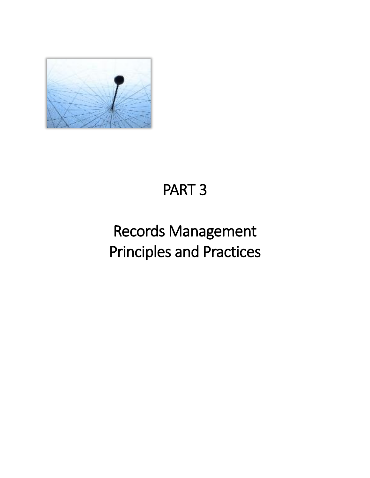

# PART 3

# Records Management Principles and Practices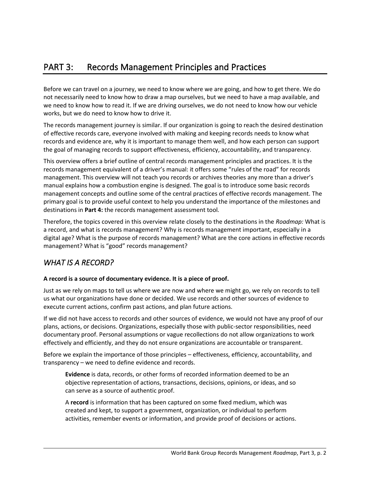Before we can travel on a journey, we need to know where we are going, and how to get there. We do not necessarily need to know how to draw a map ourselves, but we need to have a map available, and we need to know how to read it. If we are driving ourselves, we do not need to know how our vehicle works, but we do need to know how to drive it.

The records management journey is similar. If our organization is going to reach the desired destination of effective records care, everyone involved with making and keeping records needs to know what records and evidence are, why it is important to manage them well, and how each person can support the goal of managing records to support effectiveness, efficiency, accountability, and transparency.

This overview offers a brief outline of central records management principles and practices. It is the records management equivalent of a driver's manual: it offers some "rules of the road" for records management. This overview will not teach you records or archives theories any more than a driver's manual explains how a combustion engine is designed. The goal is to introduce some basic records management concepts and outline some of the central practices of effective records management. The primary goal is to provide useful context to help you understand the importance of the milestones and destinations in **Part 4:** the records management assessment tool*.*

Therefore, the topics covered in this overview relate closely to the destinations in the *Roadmap:* What is a record, and what is records management? Why is records management important, especially in a digital age? What is the purpose of records management? What are the core actions in effective records management? What is "good" records management?

# *WHAT IS A RECORD?*

## **A record is a source of documentary evidence. It is a piece of proof.**

Just as we rely on maps to tell us where we are now and where we might go, we rely on records to tell us what our organizations have done or decided. We use records and other sources of evidence to execute current actions, confirm past actions, and plan future actions.

If we did not have access to records and other sources of evidence, we would not have any proof of our plans, actions, or decisions. Organizations, especially those with public-sector responsibilities, need documentary proof. Personal assumptions or vague recollections do not allow organizations to work effectively and efficiently, and they do not ensure organizations are accountable or transparent.

Before we explain the importance of those principles – effectiveness, efficiency, accountability, and transparency – we need to define evidence and records.

**Evidence** is data, records, or other forms of recorded information deemed to be an objective representation of actions, transactions, decisions, opinions, or ideas, and so can serve as a source of authentic proof.

A **record** is information that has been captured on some fixed medium, which was created and kept, to support a government, organization, or individual to perform activities, remember events or information, and provide proof of decisions or actions.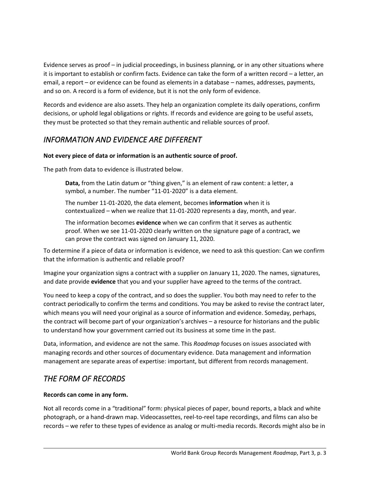Evidence serves as proof – in judicial proceedings, in business planning, or in any other situations where it is important to establish or confirm facts. Evidence can take the form of a written record – a letter, an email, a report – or evidence can be found as elements in a database – names, addresses, payments, and so on. A record is a form of evidence, but it is not the only form of evidence.

Records and evidence are also assets. They help an organization complete its daily operations, confirm decisions, or uphold legal obligations or rights. If records and evidence are going to be useful assets, they must be protected so that they remain authentic and reliable sources of proof.

# *INFORMATION AND EVIDENCE ARE DIFFERENT*

## **Not every piece of data or information is an authentic source of proof.**

The path from data to evidence is illustrated below.

**Data,** from the Latin datum or "thing given," is an element of raw content: a letter, a symbol, a number. The number "11-01-2020" is a data element.

The number 11-01-2020, the data element, becomes **information** when it is contextualized – when we realize that 11-01-2020 represents a day, month, and year.

The information becomes **evidence** when we can confirm that it serves as authentic proof. When we see 11-01-2020 clearly written on the signature page of a contract, we can prove the contract was signed on January 11, 2020.

To determine if a piece of data or information is evidence, we need to ask this question: Can we confirm that the information is authentic and reliable proof?

Imagine your organization signs a contract with a supplier on January 11, 2020. The names, signatures, and date provide **evidence** that you and your supplier have agreed to the terms of the contract.

You need to keep a copy of the contract, and so does the supplier. You both may need to refer to the contract periodically to confirm the terms and conditions. You may be asked to revise the contract later, which means you will need your original as a source of information and evidence. Someday, perhaps, the contract will become part of your organization's archives – a resource for historians and the public to understand how your government carried out its business at some time in the past.

Data, information, and evidence are not the same. This *Roadmap* focuses on issues associated with managing records and other sources of documentary evidence. Data management and information management are separate areas of expertise: important, but different from records management.

# *THE FORM OF RECORDS*

### **Records can come in any form.**

Not all records come in a "traditional" form: physical pieces of paper, bound reports, a black and white photograph, or a hand-drawn map. Videocassettes, reel-to-reel tape recordings, and films can also be records – we refer to these types of evidence as analog or multi-media records. Records might also be in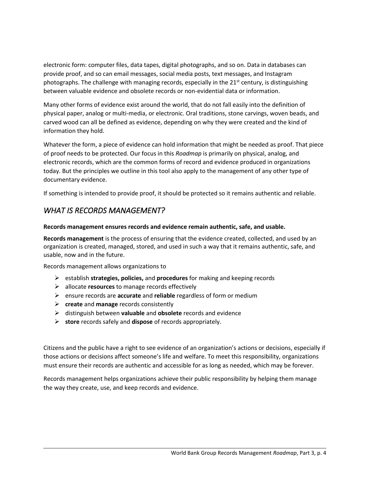electronic form: computer files, data tapes, digital photographs, and so on. Data in databases can provide proof, and so can email messages, social media posts, text messages, and Instagram photographs. The challenge with managing records, especially in the  $21<sup>st</sup>$  century, is distinguishing between valuable evidence and obsolete records or non-evidential data or information.

Many other forms of evidence exist around the world, that do not fall easily into the definition of physical paper, analog or multi-media, or electronic. Oral traditions, stone carvings, woven beads, and carved wood can all be defined as evidence, depending on why they were created and the kind of information they hold.

Whatever the form, a piece of evidence can hold information that might be needed as proof. That piece of proof needs to be protected. Our focus in this *Roadmap* is primarily on physical, analog, and electronic records, which are the common forms of record and evidence produced in organizations today. But the principles we outline in this tool also apply to the management of any other type of documentary evidence.

If something is intended to provide proof, it should be protected so it remains authentic and reliable.

# *WHAT IS RECORDS MANAGEMENT?*

### **Records management ensures records and evidence remain authentic, safe, and usable.**

**Records management** is the process of ensuring that the evidence created, collected, and used by an organization is created, managed, stored, and used in such a way that it remains authentic, safe, and usable, now and in the future.

Records management allows organizations to

- ➢ establish **strategies, policies,** and **procedures** for making and keeping records
- ➢ allocate **resources** to manage records effectively
- ➢ ensure records are **accurate** and **reliable** regardless of form or medium
- ➢ **create** and **manage** records consistently
- ➢ distinguish between **valuable** and **obsolete** records and evidence
- ➢ **store** records safely and **dispose** of records appropriately.

Citizens and the public have a right to see evidence of an organization's actions or decisions, especially if those actions or decisions affect someone's life and welfare. To meet this responsibility, organizations must ensure their records are authentic and accessible for as long as needed, which may be forever.

Records management helps organizations achieve their public responsibility by helping them manage the way they create, use, and keep records and evidence.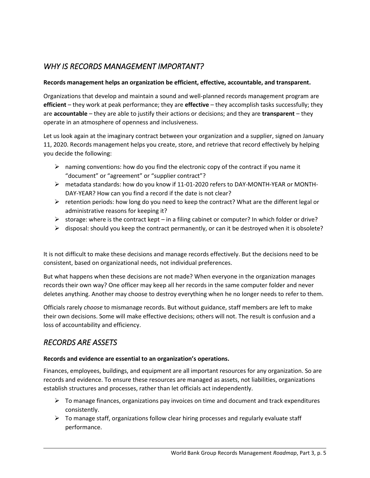## *WHY IS RECORDS MANAGEMENT IMPORTANT?*

#### **Records management helps an organization be efficient, effective, accountable, and transparent.**

Organizations that develop and maintain a sound and well-planned records management program are **efficient** – they work at peak performance; they are **effective** – they accomplish tasks successfully; they are **accountable** – they are able to justify their actions or decisions; and they are **transparent** – they operate in an atmosphere of openness and inclusiveness.

Let us look again at the imaginary contract between your organization and a supplier, signed on January 11, 2020. Records management helps you create, store, and retrieve that record effectively by helping you decide the following:

- $\triangleright$  naming conventions: how do you find the electronic copy of the contract if you name it "document" or "agreement" or "supplier contract"?
- ➢ metadata standards: how do you know if 11-01-2020 refers to DAY-MONTH-YEAR or MONTH-DAY-YEAR? How can you find a record if the date is not clear?
- $\triangleright$  retention periods: how long do you need to keep the contract? What are the different legal or administrative reasons for keeping it?
- $\triangleright$  storage: where is the contract kept in a filing cabinet or computer? In which folder or drive?
- $\triangleright$  disposal: should you keep the contract permanently, or can it be destroyed when it is obsolete?

It is not difficult to make these decisions and manage records effectively. But the decisions need to be consistent, based on organizational needs, not individual preferences.

But what happens when these decisions are not made? When everyone in the organization manages records their own way? One officer may keep all her records in the same computer folder and never deletes anything. Another may choose to destroy everything when he no longer needs to refer to them.

Officials rarely *choose* to mismanage records. But without guidance, staff members are left to make their own decisions. Some will make effective decisions; others will not. The result is confusion and a loss of accountability and efficiency.

# *RECORDS ARE ASSETS*

### **Records and evidence are essential to an organization's operations.**

Finances, employees, buildings, and equipment are all important resources for any organization. So are records and evidence. To ensure these resources are managed as assets, not liabilities, organizations establish structures and processes, rather than let officials act independently.

- $\triangleright$  To manage finances, organizations pay invoices on time and document and track expenditures consistently.
- $\triangleright$  To manage staff, organizations follow clear hiring processes and regularly evaluate staff performance.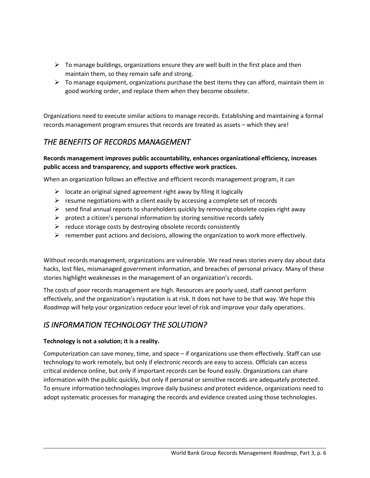- $\triangleright$  To manage buildings, organizations ensure they are well built in the first place and then maintain them, so they remain safe and strong.
- $\triangleright$  To manage equipment, organizations purchase the best items they can afford, maintain them in good working order, and replace them when they become obsolete.

Organizations need to execute similar actions to manage records. Establishing and maintaining a formal records management program ensures that records are treated as assets – which they are!

# *THE BENEFITS OF RECORDS MANAGEMENT*

## **Records management improves public accountability, enhances organizational efficiency, increases public access and transparency, and supports effective work practices.**

When an organization follows an effective and efficient records management program, it can

- $\triangleright$  locate an original signed agreement right away by filing it logically
- $\triangleright$  resume negotiations with a client easily by accessing a complete set of records
- $\triangleright$  send final annual reports to shareholders quickly by removing obsolete copies right away
- $\triangleright$  protect a citizen's personal information by storing sensitive records safely
- $\triangleright$  reduce storage costs by destroying obsolete records consistently
- $\triangleright$  remember past actions and decisions, allowing the organization to work more effectively.

Without records management, organizations are vulnerable. We read news stories every day about data hacks, lost files, mismanaged government information, and breaches of personal privacy. Many of these stories highlight weaknesses in the management of an organization's records.

The costs of poor records management are high. Resources are poorly used, staff cannot perform effectively, and the organization's reputation is at risk. It does not have to be that way. We hope this *Roadmap* will help your organization reduce your level of risk and improve your daily operations.

# *IS INFORMATION TECHNOLOGY THE SOLUTION?*

### **Technology is not a solution; it is a reality.**

Computerization can save money, time, and space – if organizations use them effectively. Staff can use technology to work remotely, but only if electronic records are easy to access. Officials can access critical evidence online, but only if important records can be found easily. Organizations can share information with the public quickly, but only if personal or sensitive records are adequately protected. To ensure information technologies improve daily business *and* protect evidence, organizations need to adopt systematic processes for managing the records and evidence created using those technologies.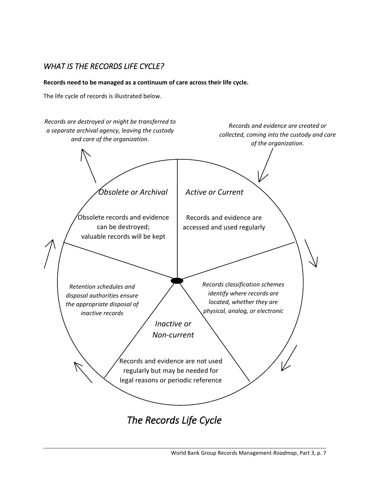# *WHAT IS THE RECORDS LIFE CYCLE?*

**Records need to be managed as a continuum of care across their life cycle.**

The life cycle of records is illustrated below.

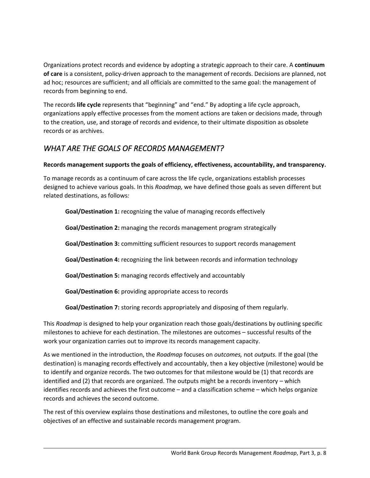Organizations protect records and evidence by adopting a strategic approach to their care. A **continuum of care** is a consistent, policy-driven approach to the management of records. Decisions are planned, not ad hoc; resources are sufficient; and all officials are committed to the same goal: the management of records from beginning to end.

The records **life cycle** represents that "beginning" and "end." By adopting a life cycle approach, organizations apply effective processes from the moment actions are taken or decisions made, through to the creation, use, and storage of records and evidence, to their ultimate disposition as obsolete records or as archives.

# *WHAT ARE THE GOALS OF RECORDS MANAGEMENT?*

## **Records management supports the goals of efficiency, effectiveness, accountability, and transparency.**

To manage records as a continuum of care across the life cycle, organizations establish processes designed to achieve various goals. In this *Roadmap,* we have defined those goals as seven different but related destinations, as follows*:*

**Goal/Destination 1:** recognizing the value of managing records effectively

**Goal/Destination 2:** managing the records management program strategically

**Goal/Destination 3:** committing sufficient resources to support records management

**Goal/Destination 4:** recognizing the link between records and information technology

**Goal/Destination 5:** managing records effectively and accountably

**Goal/Destination 6:** providing appropriate access to records

**Goal/Destination 7:** storing records appropriately and disposing of them regularly.

This *Roadmap* is designed to help your organization reach those goals/destinations by outlining specific milestones to achieve for each destination. The milestones are outcomes – successful results of the work your organization carries out to improve its records management capacity.

As we mentioned in the introduction, the *Roadmap* focuses on *outcomes,* not *outputs.* If the goal (the destination) is managing records effectively and accountably, then a key objective (milestone) would be to identify and organize records. The two outcomes for that milestone would be (1) that records are identified and (2) that records are organized. The outputs might be a records inventory – which identifies records and achieves the first outcome – and a classification scheme – which helps organize records and achieves the second outcome.

The rest of this overview explains those destinations and milestones, to outline the core goals and objectives of an effective and sustainable records management program.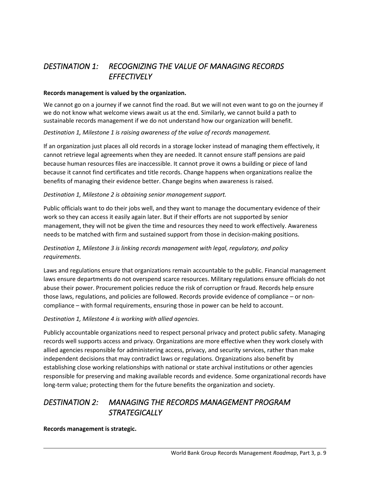# *DESTINATION 1: RECOGNIZING THE VALUE OF MANAGING RECORDS EFFECTIVELY*

#### **Records management is valued by the organization.**

We cannot go on a journey if we cannot find the road. But we will not even want to go on the journey if we do not know what welcome views await us at the end. Similarly, we cannot build a path to sustainable records management if we do not understand how our organization will benefit.

#### *Destination 1, Milestone 1 is raising awareness of the value of records management.*

If an organization just places all old records in a storage locker instead of managing them effectively, it cannot retrieve legal agreements when they are needed. It cannot ensure staff pensions are paid because human resources files are inaccessible. It cannot prove it owns a building or piece of land because it cannot find certificates and title records. Change happens when organizations realize the benefits of managing their evidence better. Change begins when awareness is raised.

#### *Destination 1, Milestone 2 is obtaining senior management support.*

Public officials want to do their jobs well, and they want to manage the documentary evidence of their work so they can access it easily again later. But if their efforts are not supported by senior management, they will not be given the time and resources they need to work effectively. Awareness needs to be matched with firm and sustained support from those in decision-making positions.

### *Destination 1, Milestone 3 is linking records management with legal, regulatory, and policy requirements.*

Laws and regulations ensure that organizations remain accountable to the public. Financial management laws ensure departments do not overspend scarce resources. Military regulations ensure officials do not abuse their power. Procurement policies reduce the risk of corruption or fraud. Records help ensure those laws, regulations, and policies are followed. Records provide evidence of compliance – or noncompliance – with formal requirements, ensuring those in power can be held to account.

#### *Destination 1, Milestone 4 is working with allied agencies.*

Publicly accountable organizations need to respect personal privacy and protect public safety. Managing records well supports access and privacy. Organizations are more effective when they work closely with allied agencies responsible for administering access, privacy, and security services, rather than make independent decisions that may contradict laws or regulations. Organizations also benefit by establishing close working relationships with national or state archival institutions or other agencies responsible for preserving and making available records and evidence. Some organizational records have long-term value; protecting them for the future benefits the organization and society.

# *DESTINATION 2: MANAGING THE RECORDS MANAGEMENT PROGRAM STRATEGICALLY*

**Records management is strategic.**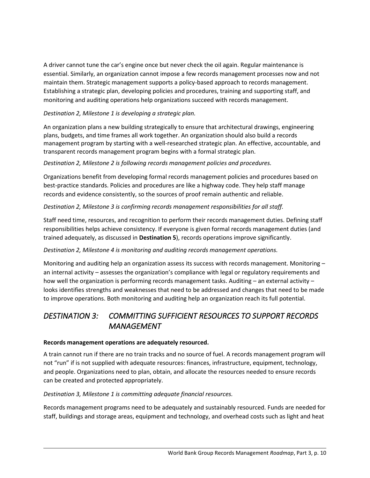A driver cannot tune the car's engine once but never check the oil again. Regular maintenance is essential. Similarly, an organization cannot impose a few records management processes now and not maintain them. Strategic management supports a policy-based approach to records management. Establishing a strategic plan, developing policies and procedures, training and supporting staff, and monitoring and auditing operations help organizations succeed with records management.

## *Destination 2, Milestone 1 is developing a strategic plan.*

An organization plans a new building strategically to ensure that architectural drawings, engineering plans, budgets, and time frames all work together. An organization should also build a records management program by starting with a well-researched strategic plan. An effective, accountable, and transparent records management program begins with a formal strategic plan.

## *Destination 2, Milestone 2 is following records management policies and procedures.*

Organizations benefit from developing formal records management policies and procedures based on best-practice standards. Policies and procedures are like a highway code. They help staff manage records and evidence consistently, so the sources of proof remain authentic and reliable.

## *Destination 2, Milestone 3 is confirming records management responsibilities for all staff.*

Staff need time, resources, and recognition to perform their records management duties. Defining staff responsibilities helps achieve consistency. If everyone is given formal records management duties (and trained adequately, as discussed in **Destination 5**), records operations improve significantly.

## *Destination 2, Milestone 4 is monitoring and auditing records management operations.*

Monitoring and auditing help an organization assess its success with records management. Monitoring – an internal activity – assesses the organization's compliance with legal or regulatory requirements and how well the organization is performing records management tasks. Auditing – an external activity – looks identifies strengths and weaknesses that need to be addressed and changes that need to be made to improve operations. Both monitoring and auditing help an organization reach its full potential.

# *DESTINATION 3: COMMITTING SUFFICIENT RESOURCES TO SUPPORT RECORDS MANAGEMENT*

### **Records management operations are adequately resourced.**

A train cannot run if there are no train tracks and no source of fuel. A records management program will not "run" if is not supplied with adequate resources: finances, infrastructure, equipment, technology, and people. Organizations need to plan, obtain, and allocate the resources needed to ensure records can be created and protected appropriately.

### *Destination 3, Milestone 1 is committing adequate financial resources.*

Records management programs need to be adequately and sustainably resourced. Funds are needed for staff, buildings and storage areas, equipment and technology, and overhead costs such as light and heat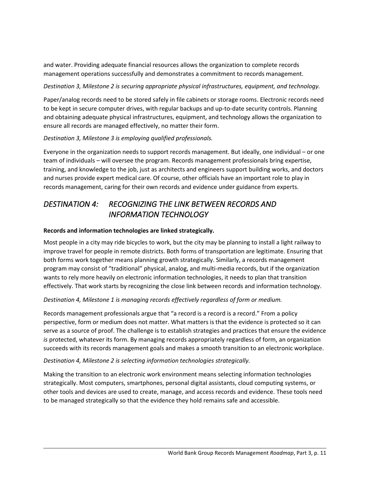and water. Providing adequate financial resources allows the organization to complete records management operations successfully and demonstrates a commitment to records management.

#### *Destination 3, Milestone 2 is securing appropriate physical infrastructures, equipment, and technology.*

Paper/analog records need to be stored safely in file cabinets or storage rooms. Electronic records need to be kept in secure computer drives, with regular backups and up-to-date security controls. Planning and obtaining adequate physical infrastructures, equipment, and technology allows the organization to ensure all records are managed effectively, no matter their form.

### *Destination 3, Milestone 3 is employing qualified professionals.*

Everyone in the organization needs to support records management. But ideally, one individual – or one team of individuals – will oversee the program. Records management professionals bring expertise, training, and knowledge to the job, just as architects and engineers support building works, and doctors and nurses provide expert medical care. Of course, other officials have an important role to play in records management, caring for their own records and evidence under guidance from experts.

## *DESTINATION 4: RECOGNIZING THE LINK BETWEEN RECORDS AND INFORMATION TECHNOLOGY*

#### **Records and information technologies are linked strategically.**

Most people in a city may ride bicycles to work, but the city may be planning to install a light railway to improve travel for people in remote districts. Both forms of transportation are legitimate. Ensuring that both forms work together means planning growth strategically. Similarly, a records management program may consist of "traditional" physical, analog, and multi-media records, but if the organization wants to rely more heavily on electronic information technologies, it needs to plan that transition effectively. That work starts by recognizing the close link between records and information technology.

### *Destination 4, Milestone 1 is managing records effectively regardless of form or medium.*

Records management professionals argue that "a record is a record is a record." From a policy perspective, form or medium does not matter. What matters is that the evidence is protected so it can serve as a source of proof. The challenge is to establish strategies and practices that ensure the evidence *is* protected, whatever its form. By managing records appropriately regardless of form, an organization succeeds with its records management goals and makes a smooth transition to an electronic workplace.

#### *Destination 4, Milestone 2 is selecting information technologies strategically.*

Making the transition to an electronic work environment means selecting information technologies strategically. Most computers, smartphones, personal digital assistants, cloud computing systems, or other tools and devices are used to create, manage, and access records and evidence. These tools need to be managed strategically so that the evidence they hold remains safe and accessible.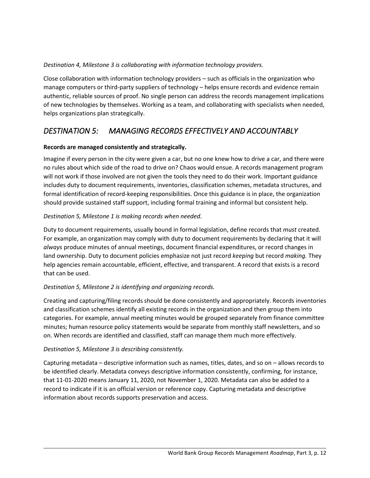## *Destination 4, Milestone 3 is collaborating with information technology providers.*

Close collaboration with information technology providers – such as officials in the organization who manage computers or third-party suppliers of technology – helps ensure records and evidence remain authentic, reliable sources of proof. No single person can address the records management implications of new technologies by themselves. Working as a team, and collaborating with specialists when needed, helps organizations plan strategically.

## *DESTINATION 5: MANAGING RECORDS EFFECTIVELY AND ACCOUNTABLY*

### **Records are managed consistently and strategically.**

Imagine if every person in the city were given a car, but no one knew how to drive a car, and there were no rules about which side of the road to drive on? Chaos would ensue. A records management program will not work if those involved are not given the tools they need to do their work. Important guidance includes duty to document requirements, inventories, classification schemes, metadata structures, and formal identification of record-keeping responsibilities. Once this guidance is in place, the organization should provide sustained staff support, including formal training and informal but consistent help.

### *Destination 5, Milestone 1 is making records when needed.*

Duty to document requirements, usually bound in formal legislation, define records that *must* created. For example, an organization may comply with duty to document requirements by declaring that it will *always* produce minutes of annual meetings, document financial expenditures, or record changes in land ownership. Duty to document policies emphasize not just record *keeping* but record *making.* They help agencies remain accountable, efficient, effective, and transparent. A record that exists is a record that can be used.

### *Destination 5, Milestone 2 is identifying and organizing records.*

Creating and capturing/filing records should be done consistently and appropriately. Records inventories and classification schemes identify all existing records in the organization and then group them into categories. For example, annual meeting minutes would be grouped separately from finance committee minutes; human resource policy statements would be separate from monthly staff newsletters, and so on. When records are identified and classified, staff can manage them much more effectively.

#### *Destination 5, Milestone 3 is describing consistently.*

Capturing metadata – descriptive information such as names, titles, dates, and so on – allows records to be identified clearly. Metadata conveys descriptive information consistently, confirming, for instance, that 11-01-2020 means January 11, 2020, not November 1, 2020. Metadata can also be added to a record to indicate if it is an official version or reference copy. Capturing metadata and descriptive information about records supports preservation and access.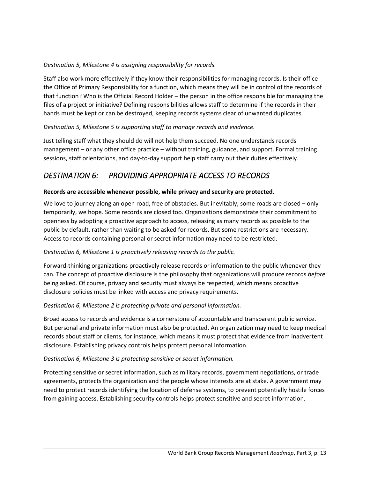## *Destination 5, Milestone 4 is assigning responsibility for records.*

Staff also work more effectively if they know their responsibilities for managing records. Is their office the Office of Primary Responsibility for a function, which means they will be in control of the records of that function? Who is the Official Record Holder – the person in the office responsible for managing the files of a project or initiative? Defining responsibilities allows staff to determine if the records in their hands must be kept or can be destroyed, keeping records systems clear of unwanted duplicates.

## *Destination 5, Milestone 5 is supporting staff to manage records and evidence.*

Just telling staff what they should do will not help them succeed. No one understands records management – or any other office practice – without training, guidance, and support. Formal training sessions, staff orientations, and day-to-day support help staff carry out their duties effectively.

# *DESTINATION 6: PROVIDING APPROPRIATE ACCESS TO RECORDS*

### **Records are accessible whenever possible, while privacy and security are protected.**

We love to journey along an open road, free of obstacles. But inevitably, some roads are closed – only temporarily, we hope. Some records are closed too. Organizations demonstrate their commitment to openness by adopting a proactive approach to access, releasing as many records as possible to the public by default, rather than waiting to be asked for records. But some restrictions are necessary. Access to records containing personal or secret information may need to be restricted.

### *Destination 6, Milestone 1 is proactively releasing records to the public.*

Forward-thinking organizations proactively release records or information to the public whenever they can. The concept of proactive disclosure is the philosophy that organizations will produce records *before*  being asked. Of course, privacy and security must always be respected, which means proactive disclosure policies must be linked with access and privacy requirements.

### *Destination 6, Milestone 2 is protecting private and personal information.*

Broad access to records and evidence is a cornerstone of accountable and transparent public service. But personal and private information must also be protected. An organization may need to keep medical records about staff or clients, for instance, which means it must protect that evidence from inadvertent disclosure. Establishing privacy controls helps protect personal information.

### *Destination 6, Milestone 3 is protecting sensitive or secret information.*

Protecting sensitive or secret information, such as military records, government negotiations, or trade agreements, protects the organization and the people whose interests are at stake. A government may need to protect records identifying the location of defense systems, to prevent potentially hostile forces from gaining access. Establishing security controls helps protect sensitive and secret information.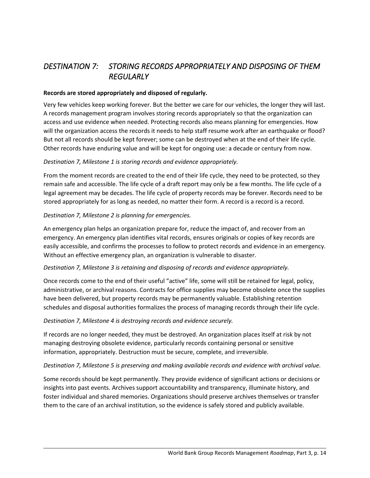# *DESTINATION 7: STORING RECORDS APPROPRIATELY AND DISPOSING OF THEM REGULARLY*

#### **Records are stored appropriately and disposed of regularly.**

Very few vehicles keep working forever. But the better we care for our vehicles, the longer they will last. A records management program involves storing records appropriately so that the organization can access and use evidence when needed. Protecting records also means planning for emergencies. How will the organization access the records it needs to help staff resume work after an earthquake or flood? But not all records should be kept forever; some can be destroyed when at the end of their life cycle. Other records have enduring value and will be kept for ongoing use: a decade or century from now.

#### *Destination 7, Milestone 1 is storing records and evidence appropriately.*

From the moment records are created to the end of their life cycle, they need to be protected, so they remain safe and accessible. The life cycle of a draft report may only be a few months. The life cycle of a legal agreement may be decades. The life cycle of property records may be forever. Records need to be stored appropriately for as long as needed, no matter their form. A record is a record is a record.

#### *Destination 7, Milestone 2 is planning for emergencies.*

An emergency plan helps an organization prepare for, reduce the impact of, and recover from an emergency. An emergency plan identifies vital records, ensures originals or copies of key records are easily accessible, and confirms the processes to follow to protect records and evidence in an emergency. Without an effective emergency plan, an organization is vulnerable to disaster.

### *Destination 7, Milestone 3 is retaining and disposing of records and evidence appropriately.*

Once records come to the end of their useful "active" life, some will still be retained for legal, policy, administrative, or archival reasons. Contracts for office supplies may become obsolete once the supplies have been delivered, but property records may be permanently valuable. Establishing retention schedules and disposal authorities formalizes the process of managing records through their life cycle.

#### *Destination 7, Milestone 4 is destroying records and evidence securely.*

If records are no longer needed, they must be destroyed. An organization places itself at risk by not managing destroying obsolete evidence, particularly records containing personal or sensitive information, appropriately. Destruction must be secure, complete, and irreversible.

#### *Destination 7, Milestone 5 is preserving and making available records and evidence with archival value.*

Some records should be kept permanently. They provide evidence of significant actions or decisions or insights into past events. Archives support accountability and transparency, illuminate history, and foster individual and shared memories. Organizations should preserve archives themselves or transfer them to the care of an archival institution, so the evidence is safely stored and publicly available.